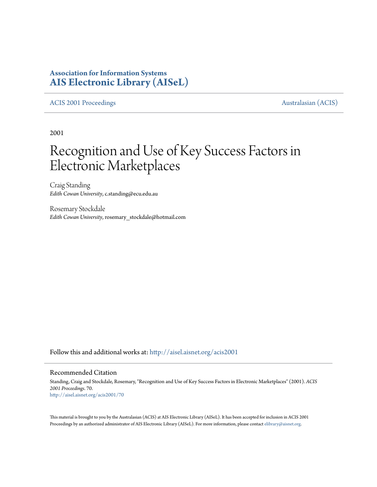# **Association for Information Systems [AIS Electronic Library \(AISeL\)](http://aisel.aisnet.org?utm_source=aisel.aisnet.org%2Facis2001%2F70&utm_medium=PDF&utm_campaign=PDFCoverPages)**

## [ACIS 2001 Proceedings](http://aisel.aisnet.org/acis2001?utm_source=aisel.aisnet.org%2Facis2001%2F70&utm_medium=PDF&utm_campaign=PDFCoverPages) **Australasian** (ACIS)

2001

# Recognition and Use of Key Success Factors in Electronic Marketplaces

Craig Standing *Edith Cowan University*, c.standing@ecu.edu.au

Rosemary Stockdale *Edith Cowan University*, rosemary\_stockdale@hotmail.com

Follow this and additional works at: [http://aisel.aisnet.org/acis2001](http://aisel.aisnet.org/acis2001?utm_source=aisel.aisnet.org%2Facis2001%2F70&utm_medium=PDF&utm_campaign=PDFCoverPages)

## Recommended Citation

Standing, Craig and Stockdale, Rosemary, "Recognition and Use of Key Success Factors in Electronic Marketplaces" (2001). *ACIS 2001 Proceedings*. 70. [http://aisel.aisnet.org/acis2001/70](http://aisel.aisnet.org/acis2001/70?utm_source=aisel.aisnet.org%2Facis2001%2F70&utm_medium=PDF&utm_campaign=PDFCoverPages)

This material is brought to you by the Australasian (ACIS) at AIS Electronic Library (AISeL). It has been accepted for inclusion in ACIS 2001 Proceedings by an authorized administrator of AIS Electronic Library (AISeL). For more information, please contact [elibrary@aisnet.org](mailto:elibrary@aisnet.org%3E).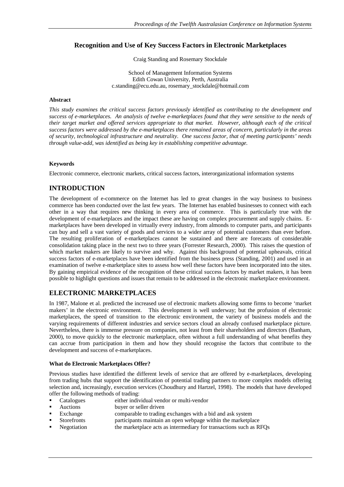# **Recognition and Use of Key Success Factors in Electronic Marketplaces**

Craig Standing and Rosemary Stockdale

School of Management Information Systems Edith Cowan University, Perth, Australia c.standing@ecu.edu.au, rosemary\_stockdale@hotmail.com

## **Abstract**

*This study examines the critical success factors previously identified as contributing to the development and success of e-marketplaces. An analysis of twelve e-marketplaces found that they were sensitive to the needs of their target market and offered services appropriate to that market. However, although each of the critical success factors were addressed by the e-marketplaces there remained areas of concern, particularly in the areas of security, technological infrastructure and neutrality. One success factor, that of meeting participants' needs through value-add, was identified as being key in establishing competitive advantage.*

## **Keywords**

Electronic commerce, electronic markets, critical success factors, interorganizational information systems

# **INTRODUCTION**

The development of e-commerce on the Internet has led to great changes in the way business to business commerce has been conducted over the last few years. The Internet has enabled businesses to connect with each other in a way that requires new thinking in every area of commerce. This is particularly true with the development of e-marketplaces and the impact these are having on complex procurement and supply chains. Emarketplaces have been developed in virtually every industry, from almonds to computer parts, and participants can buy and sell a vast variety of goods and services to a wider array of potential customers than ever before. The resulting proliferation of e-marketplaces cannot be sustained and there are forecasts of considerable consolidation taking place in the next two to three years (Forrester Research, 2000). This raises the question of which market makers are likely to survive and why. Against this background of potential upheavals, critical success factors of e-marketplaces have been identified from the business press (Standing, 2001) and used in an examination of twelve e-marketplace sites to assess how well these factors have been incorporated into the sites. By gaining empirical evidence of the recognition of these critical success factors by market makers, it has been possible to highlight questions and issues that remain to be addressed in the electronic marketplace environment.

# **ELECTRONIC MARKETPLACES**

In 1987, Malone et al. predicted the increased use of electronic markets allowing some firms to become 'market makers' in the electronic environment. This development is well underway; but the profusion of electronic marketplaces, the speed of transition to the electronic environment, the variety of business models and the varying requirements of different industries and service sectors cloud an already confused marketplace picture. Nevertheless, there is immense pressure on companies, not least from their shareholders and directors (Banham, 2000), to move quickly to the electronic marketplace, often without a full understanding of what benefits they can accrue from participation in them and how they should recognise the factors that contribute to the development and success of e-marketplaces.

## **What do Electronic Marketplaces Offer?**

Previous studies have identified the different levels of service that are offered by e-marketplaces, developing from trading hubs that support the identification of potential trading partners to more complex models offering selection and, increasingly, execution services (Choudhury and Hartzel, 1998). The models that have developed offer the following methods of trading:

- Catalogues either individual vendor or multi-vendor
- -Auctions buyer or seller driven
- -Exchange comparable to trading exchanges with a bid and ask system
- -Storefronts participants maintain an open webpage within the marketplace<br>Negotiation the marketplace acts as intermediary for transactions such as R
- the marketplace acts as intermediary for transactions such as RFQs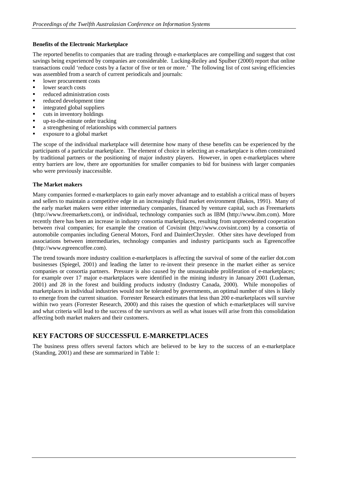## **Benefits of the Electronic Marketplace**

The reported benefits to companies that are trading through e-marketplaces are compelling and suggest that cost savings being experienced by companies are considerable. Lucking-Reiley and Spulber (2000) report that online transactions could 'reduce costs by a factor of five or ten or more.' The following list of cost saving efficiencies was assembled from a search of current periodicals and journals:

- lower procurement costs
- lower search costs
- reduced administration costs
- reduced development time
- integrated global suppliers
- cuts in inventory holdings
- up-to-the-minute order tracking
- a strengthening of relationships with commercial partners
- exposure to a global market

The scope of the individual marketplace will determine how many of these benefits can be experienced by the participants of a particular marketplace. The element of choice in selecting an e-marketplace is often constrained by traditional partners or the positioning of major industry players. However, in open e-marketplaces where entry barriers are low, there are opportunities for smaller companies to bid for business with larger companies who were previously inaccessible.

#### **The Market makers**

Many companies formed e-marketplaces to gain early mover advantage and to establish a critical mass of buyers and sellers to maintain a competitive edge in an increasingly fluid market environment (Bakos, 1991). Many of the early market makers were either intermediary companies, financed by venture capital, such as Freemarkets (http://www.freemarkets.com), or individual, technology companies such as IBM (http://www.ibm.com). More recently there has been an increase in industry consortia marketplaces, resulting from unprecedented cooperation between rival companies; for example the creation of Covisint (http://www.covisint.com) by a consortia of automobile companies including General Motors, Ford and DaimlerChrysler. Other sites have developed from associations between intermediaries, technology companies and industry participants such as Egreencoffee (http://www.egreencoffee.com).

The trend towards more industry coalition e-marketplaces is affecting the survival of some of the earlier dot.com businesses (Spiegel, 2001) and leading the latter to re-invent their presence in the market either as service companies or consortia partners. Pressure is also caused by the unsustainable proliferation of e-marketplaces; for example over 17 major e-marketplaces were identified in the mining industry in January 2001 (Ludeman, 2001) and 28 in the forest and building products industry (Industry Canada, 2000). While monopolies of marketplaces in individual industries would not be tolerated by governments, an optimal number of sites is likely to emerge from the current situation. Forrester Research estimates that less than 200 e-marketplaces will survive within two years (Forrester Research, 2000) and this raises the question of which e-marketplaces will survive and what criteria will lead to the success of the survivors as well as what issues will arise from this consolidation affecting both market makers and their customers.

## **KEY FACTORS OF SUCCESSFUL E-MARKETPLACES**

The business press offers several factors which are believed to be key to the success of an e-marketplace (Standing, 2001) and these are summarized in Table 1: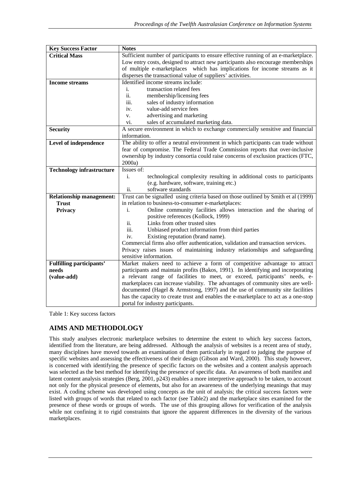| <b>Key Success Factor</b>        | <b>Notes</b>                                                                        |  |  |  |  |  |  |
|----------------------------------|-------------------------------------------------------------------------------------|--|--|--|--|--|--|
| <b>Critical Mass</b>             | Sufficient number of participants to ensure effective running of an e-marketplace.  |  |  |  |  |  |  |
|                                  | Low entry costs, designed to attract new participants also encourage memberships    |  |  |  |  |  |  |
|                                  | of multiple e-marketplaces which has implications for income streams as it          |  |  |  |  |  |  |
|                                  | disperses the transactional value of suppliers' activities.                         |  |  |  |  |  |  |
| <b>Income streams</b>            | Identified income streams include:                                                  |  |  |  |  |  |  |
|                                  | transaction related fees<br>i.                                                      |  |  |  |  |  |  |
|                                  | ii.<br>membership/licensing fees                                                    |  |  |  |  |  |  |
|                                  | iii.<br>sales of industry information                                               |  |  |  |  |  |  |
|                                  | value-add service fees<br>iv.                                                       |  |  |  |  |  |  |
|                                  | advertising and marketing<br>V.                                                     |  |  |  |  |  |  |
|                                  | sales of accumulated marketing data.<br>vi.                                         |  |  |  |  |  |  |
| <b>Security</b>                  | A secure environment in which to exchange commercially sensitive and financial      |  |  |  |  |  |  |
|                                  | information.                                                                        |  |  |  |  |  |  |
| Level of independence            | The ability to offer a neutral environment in which participants can trade without  |  |  |  |  |  |  |
|                                  | fear of compromise. The Federal Trade Commission reports that over-inclusive        |  |  |  |  |  |  |
|                                  | ownership by industry consortia could raise concerns of exclusion practices (FTC,   |  |  |  |  |  |  |
|                                  | 2000a)                                                                              |  |  |  |  |  |  |
| <b>Technology infrastructure</b> | Issues of:                                                                          |  |  |  |  |  |  |
|                                  | technological complexity resulting in additional costs to participants<br>i.        |  |  |  |  |  |  |
|                                  | (e.g. hardware, software, training etc.)                                            |  |  |  |  |  |  |
|                                  | software standards<br>ii.                                                           |  |  |  |  |  |  |
| <b>Relationship management:</b>  | Trust can be signalled using criteria based on those outlined by Smith et al (1999) |  |  |  |  |  |  |
| <b>Trust</b>                     | in relation to business-to-consumer e-marketplaces:                                 |  |  |  |  |  |  |
| Privacy                          | Online community facilities allows interaction and the sharing of<br>i.             |  |  |  |  |  |  |
|                                  | positive references (Kollock, 1999)                                                 |  |  |  |  |  |  |
|                                  | Links from other trusted sites<br>ii.                                               |  |  |  |  |  |  |
|                                  | iii.<br>Unbiased product information from third parties                             |  |  |  |  |  |  |
|                                  | Existing reputation (brand name).<br>iv.                                            |  |  |  |  |  |  |
|                                  | Commercial firms also offer authentication, validation and transaction services.    |  |  |  |  |  |  |
|                                  | Privacy raises issues of maintaining industry relationships and safeguarding        |  |  |  |  |  |  |
|                                  | sensitive information.                                                              |  |  |  |  |  |  |
| <b>Fulfilling participants'</b>  | Market makers need to achieve a form of competitive advantage to attract            |  |  |  |  |  |  |
| needs                            | participants and maintain profits (Bakos, 1991). In identifying and incorporating   |  |  |  |  |  |  |
| (value-add)                      | a relevant range of facilities to meet, or exceed, participants' needs, e-          |  |  |  |  |  |  |
|                                  | marketplaces can increase viability. The advantages of community sites are well-    |  |  |  |  |  |  |
|                                  | documented (Hagel & Armstrong, 1997) and the use of community site facilities       |  |  |  |  |  |  |
|                                  | has the capacity to create trust and enables the e-marketplace to act as a one-stop |  |  |  |  |  |  |
|                                  | portal for industry participants.                                                   |  |  |  |  |  |  |

Table 1: Key success factors

# **AIMS AND METHODOLOGY**

This study analyses electronic marketplace websites to determine the extent to which key success factors, identified from the literature, are being addressed. Although the analysis of websites is a recent area of study, many disciplines have moved towards an examination of them particularly in regard to judging the purpose of specific websites and assessing the effectiveness of their design (Gibson and Ward, 2000). This study however, is concerned with identifying the presence of specific factors on the websites and a content analysis approach was selected as the best method for identifying the presence of specific data. An awareness of both manifest and latent content analysis strategies (Berg, 2001, p243) enables a more interpretive approach to be taken, to account not only for the physical presence of elements, but also for an awareness of the underlying meanings that may exist. A coding scheme was developed using concepts as the unit of analysis; the critical success factors were listed with groups of words that related to each factor (see Table2) and the marketplace sites examined for the presence of these words or groups of words. The use of this grouping allows for verification of the analysis while not confining it to rigid constraints that ignore the apparent differences in the diversity of the various marketplaces.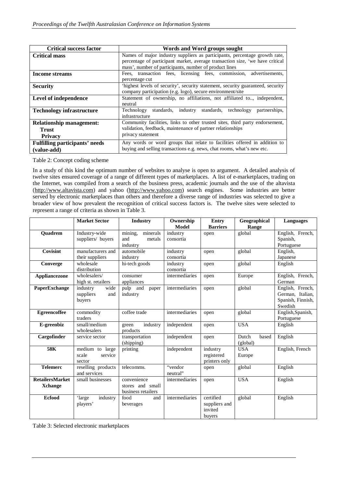| <b>Critical success factor</b>        | Words and Word groups sought                                                    |  |  |  |  |  |  |  |
|---------------------------------------|---------------------------------------------------------------------------------|--|--|--|--|--|--|--|
| <b>Critical mass</b>                  | Names of major industry suppliers as participants, percentage growth rate,      |  |  |  |  |  |  |  |
|                                       | percentage of participant market, average transaction size, 'we have critical   |  |  |  |  |  |  |  |
|                                       | mass', number of participants, number of product lines                          |  |  |  |  |  |  |  |
| <b>Income streams</b>                 | Fees, transaction fees, licensing fees, commission, advertisements,             |  |  |  |  |  |  |  |
|                                       | percentage cut                                                                  |  |  |  |  |  |  |  |
| <b>Security</b>                       | 'highest levels of security', security statement, security guaranteed, security |  |  |  |  |  |  |  |
|                                       | company participation (e.g. logo), secure environment/site                      |  |  |  |  |  |  |  |
| Level of independence                 | Statement of ownership, no affiliations, not affiliated to, independent,        |  |  |  |  |  |  |  |
|                                       | neutral                                                                         |  |  |  |  |  |  |  |
| <b>Technology infrastructure</b>      | Technology standards, industry standards, technology partnerships,              |  |  |  |  |  |  |  |
|                                       | infrastructure                                                                  |  |  |  |  |  |  |  |
| <b>Relationship management:</b>       | Community facilities, links to other trusted sites, third party endorsement,    |  |  |  |  |  |  |  |
| Trust                                 | validation, feedback, maintenance of partner relationships                      |  |  |  |  |  |  |  |
| <b>Privacy</b>                        | privacy statement                                                               |  |  |  |  |  |  |  |
| <b>Fulfilling participants' needs</b> | Any words or word groups that relate to facilities offered in addition to       |  |  |  |  |  |  |  |
| (value-add)                           | buying and selling transactions e.g. news, chat rooms, what's new etc.          |  |  |  |  |  |  |  |

Table 2: Concept coding scheme

In a study of this kind the optimum number of websites to analyse is open to argument. A detailed analysis of twelve sites ensured coverage of a range of different types of marketplaces. A list of e-marketplaces, trading on the Internet, was compiled from a search of the business press, academic journals and the use of the altavista (http://www.altavista.com) and yahoo (http://www.yahoo.com) search engines. Some industries are better served by electronic marketplaces than others and therefore a diverse range of industries was selected to give a broader view of how prevalent the recognition of critical success factors is. The twelve sites were selected to represent a range of criteria as shown in Table 3.

|                        | <b>Market Sector</b> | <b>Industry</b>      | Ownership      | <b>Entry</b>    | Geographical   | <b>Languages</b>  |
|------------------------|----------------------|----------------------|----------------|-----------------|----------------|-------------------|
|                        |                      |                      | <b>Model</b>   | <b>Barriers</b> | Range          |                   |
| <b>Quadrem</b>         | Industry-wide        | mining,<br>minerals  | industry       | open            | global         | English, French,  |
|                        | suppliers/ buyers    | and<br>metals        | consortia      |                 |                | Spanish,          |
|                        |                      | industry             |                |                 |                | Portuguese        |
| Covisint               | manufacturers and    | automobile           | industry       | open            | global         | English,          |
|                        | their suppliers      | industry             | consortia      |                 |                | Japanese          |
| Converge               | wholesale            | hi-tech goods        | industry       | open            | global         | English           |
|                        | distribution         |                      | consortia      |                 |                |                   |
| Appliancezone          | wholesalers/         | consumer             | intermediaries | open            | Europe         | English, French,  |
|                        | high st. retailers   | appliances           |                |                 |                | German            |
| PaperExchange          | industry<br>wide     | pulp<br>and<br>paper | intermediaries | open            | global         | English, French,  |
|                        | suppliers<br>and     | industry             |                |                 |                | German, Italian,  |
|                        | buyers               |                      |                |                 |                | Spanish, Finnish, |
|                        |                      |                      |                |                 |                | Swedish           |
| <b>Egreencoffee</b>    | commodity            | coffee trade         | intermediaries | open            | global         | English, Spanish, |
|                        | traders              |                      |                |                 |                | Portuguese        |
| E-greenbiz             | small/medium         | industry<br>green    | independent    | open            | <b>USA</b>     | English           |
|                        | wholesalers          | products             |                |                 |                |                   |
| Cargofinder            | service sector       | transportation       | independent    | open            | Dutch<br>based | English           |
|                        |                      | (shipping)           |                |                 | (global)       |                   |
| 58K                    | medium to large      | printing             | independent    | industry        | <b>USA</b>     | English, French   |
|                        | scale<br>service     |                      |                | registered      | Europe         |                   |
|                        | sector               |                      |                | printers only   |                |                   |
| <b>Telemerc</b>        | reselling products   | telecomms.           | "vendor"       | open            | global         | English           |
|                        | and services         |                      | neutral"       |                 |                |                   |
| <b>RetailersMarket</b> | small businesses     | convenience          | intermediaries | open            | <b>USA</b>     | English           |
| <b>Xchange</b>         |                      | stores and small     |                |                 |                |                   |
|                        |                      | business retailers   |                |                 |                |                   |
| <b>Ecfood</b>          | industry<br>'large   | food<br>and          | intermediaries | certified       | global         | English           |
|                        | players'             | beverages            |                | suppliers and   |                |                   |
|                        |                      |                      |                | invited         |                |                   |
|                        |                      |                      |                | buyers          |                |                   |

Table 3: Selected electronic marketplaces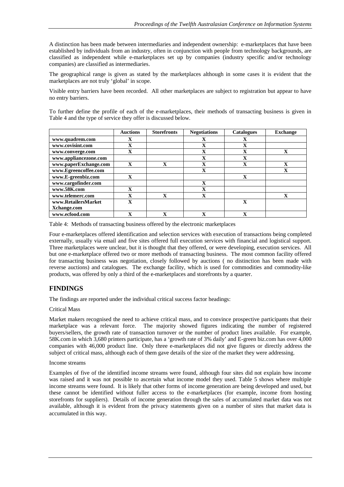A distinction has been made between intermediaries and independent ownership: e-marketplaces that have been established by individuals from an industry, often in conjunction with people from technology backgrounds, are classified as independent while e-marketplaces set up by companies (industry specific and/or technology companies) are classified as intermediaries.

The geographical range is given as stated by the marketplaces although in some cases it is evident that the marketplaces are not truly 'global' in scope.

Visible entry barriers have been recorded. All other marketplaces are subject to registration but appear to have no entry barriers.

To further define the profile of each of the e-marketplaces, their methods of transacting business is given in Table 4 and the type of service they offer is discussed below.

|                       | <b>Auctions</b> | <b>Storefronts</b> | <b>Negotiations</b> | <b>Catalogues</b> | <b>Exchange</b> |
|-----------------------|-----------------|--------------------|---------------------|-------------------|-----------------|
| www.quadrem.com       | $\mathbf x$     |                    | X                   | X                 |                 |
| www.covisint.com      | $\mathbf x$     |                    | $\mathbf{X}$        | $\mathbf{X}$      |                 |
| www.converge.com      | $\mathbf x$     |                    | $\mathbf x$         | $\mathbf{v}$<br>л | $\mathbf{X}$    |
| www.appliancezone.com |                 |                    | X                   | X                 |                 |
| www.paperExchange.com | $\mathbf x$     | $\mathbf x$        | $\mathbf x$         | $\mathbf x$       | $\mathbf x$     |
| www.Egreencoffee.com  |                 |                    | $\mathbf{X}$        |                   | $\mathbf x$     |
| www.E-greenbiz.com    | X               |                    |                     | $\mathbf x$       |                 |
| www.cargofinder.com   |                 |                    | $\mathbf{X}$        |                   |                 |
| www.58K.com           | $\mathbf x$     |                    | $\mathbf x$         |                   |                 |
| www.telemerc.com      | $\mathbf x$     | $\mathbf x$        | $\mathbf x$         |                   | $\mathbf x$     |
| www.RetailersMarket   | $\mathbf x$     |                    |                     | $\mathbf x$       |                 |
| Xchange.com           |                 |                    |                     |                   |                 |
| www.ecfood.com        | $\mathbf{v}$    | $\mathbf x$        | $\mathbf{v}$        | $\mathbf{v}$      |                 |

Table 4: Methods of transacting business offered by the electronic marketplaces

Four e-marketplaces offered identification and selection services with execution of transactions being completed externally, usually via email and five sites offered full execution services with financial and logistical support. Three marketplaces were unclear, but it is thought that they offered, or were developing, execution services. All but one e-marketplace offered two or more methods of transacting business. The most common facility offered for transacting business was negotiation, closely followed by auctions ( no distinction has been made with reverse auctions) and catalogues. The exchange facility, which is used for commodities and commodity-like products, was offered by only a third of the e-marketplaces and storefronts by a quarter.

# **FINDINGS**

The findings are reported under the individual critical success factor headings:

## Critical Mass

Market makers recognised the need to achieve critical mass, and to convince prospective participants that their marketplace was a relevant force. The majority showed figures indicating the number of registered buyers/sellers, the growth rate of transaction turnover or the number of product lines available. For example, 58K.com in which 3,680 printers participate, has a 'growth rate of 3% daily' and E-green biz.com has over 4,000 companies with 46,000 product line. Only three e-marketplaces did not give figures or directly address the subject of critical mass, although each of them gave details of the size of the market they were addressing.

## Income streams

Examples of five of the identified income streams were found, although four sites did not explain how income was raised and it was not possible to ascertain what income model they used. Table 5 shows where multiple income streams were found. It is likely that other forms of income generation are being developed and used, but these cannot be identified without fuller access to the e-marketplaces (for example, income from hosting storefronts for suppliers). Details of income generation through the sales of accumulated market data was not available, although it is evident from the privacy statements given on a number of sites that market data is accumulated in this way.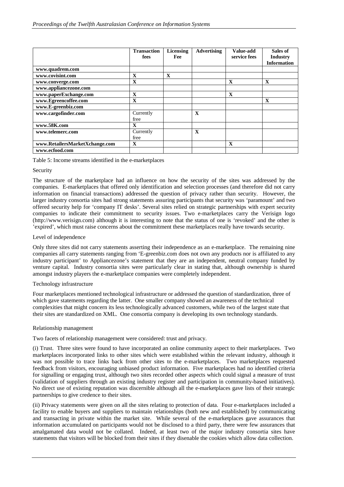|                                | <b>Transaction</b><br>fees | Licensing<br>Fee | Advertising | Value-add<br>service fees | Sales of<br><b>Industry</b><br><b>Information</b> |
|--------------------------------|----------------------------|------------------|-------------|---------------------------|---------------------------------------------------|
| www.quadrem.com                |                            |                  |             |                           |                                                   |
| www.covisint.com               | $\mathbf{X}$               | $\mathbf{x}$     |             |                           |                                                   |
| www.converge.com               | $\mathbf{X}$               |                  |             | $\mathbf{X}$              | $\mathbf{X}$                                      |
| www.appliancezone.com          |                            |                  |             |                           |                                                   |
| www.paperExchange.com          | X                          |                  |             | $\mathbf X$               |                                                   |
| www.Egreencoffee.com           | X                          |                  |             |                           | X                                                 |
| www.E-greenbiz.com             |                            |                  |             |                           |                                                   |
| www.cargofinder.com            | Currently<br>free          |                  | $\mathbf X$ |                           |                                                   |
| www.58K.com                    | X                          |                  |             |                           |                                                   |
| www.telemerc.com               | Currently<br>free          |                  | X           |                           |                                                   |
| www.RetailersMarketXchange.com | $\mathbf{X}$               |                  |             | $\mathbf{x}$              |                                                   |
| www.ecfood.com                 |                            |                  |             |                           |                                                   |

Table 5: Income streams identified in the e-marketplaces

## Security

The structure of the marketplace had an influence on how the security of the sites was addressed by the companies. E-marketplaces that offered only identification and selection processes (and therefore did not carry information on financial transactions) addressed the question of privacy rather than security. However, the larger industry consortia sites had strong statements assuring participants that security was 'paramount' and two offered security help for 'company IT desks'. Several sites relied on strategic partnerships with expert security companies to indicate their commitment to security issues. Two e-marketplaces carry the Verisign logo (http://www.verisign.com) although it is interesting to note that the status of one is 'revoked' and the other is 'expired', which must raise concerns about the commitment these marketplaces really have towards security.

## Level of independence

Only three sites did not carry statements asserting their independence as an e-marketplace. The remaining nine companies all carry statements ranging from 'E-greenbiz.com does not own any products nor is affiliated to any industry participant' to Appliancezone's statement that they are an independent, neutral company funded by venture capital. Industry consortia sites were particularly clear in stating that, although ownership is shared amongst industry players the e-marketplace companies were completely independent.

## Technology infrastructure

Four marketplaces mentioned technological infrastructure or addressed the question of standardization, three of which gave statements regarding the latter. One smaller company showed an awareness of the technical complexities that might concern its less technologically advanced customers, while two of the largest state that their sites are standardized on XML. One consortia company is developing its own technology standards.

## Relationship management

Two facets of relationship management were considered: trust and privacy.

(i) Trust. Three sites were found to have incorporated an online community aspect to their marketplaces. Two marketplaces incorporated links to other sites which were established within the relevant industry, although it was not possible to trace links back from other sites to the e-marketplaces. Two marketplaces requested feedback from visitors, encouraging unbiased product information. Five marketplaces had no identified criteria for signalling or engaging trust, although two sites recorded other aspects which could signal a measure of trust (validation of suppliers through an existing industry register and participation in community-based initiatives). No direct use of existing reputation was discernible although all the e-marketplaces gave lists of their strategic partnerships to give credence to their sites.

(ii) Privacy statements were given on all the sites relating to protection of data. Four e-marketplaces included a facility to enable buyers and suppliers to maintain relationships (both new and established) by communicating and transacting in private within the market site. While several of the e-marketplaces gave assurances that information accumulated on participants would not be disclosed to a third party, there were few assurances that amalgamated data would not be collated. Indeed, at least two of the major industry consortia sites have statements that visitors will be blocked from their sites if they disenable the cookies which allow data collection.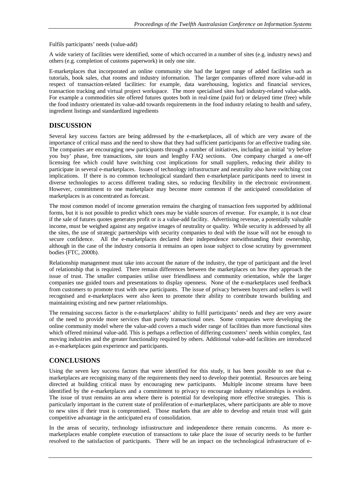Fulfils participants' needs (value-add)

A wide variety of facilities were identified, some of which occurred in a number of sites (e.g. industry news) and others (e.g. completion of customs paperwork) in only one site.

E-marketplaces that incorporated an online community site had the largest range of added facilities such as tutorials, book sales, chat rooms and industry information. The larger companies offered more value-add in respect of transaction-related facilities: for example, data warehousing, logistics and financial services, transaction tracking and virtual project workspace. The more specialised sites had industry-related value-adds. For example a commodities site offered futures quotes both in real-time (paid for) or delayed time (free) while the food industry orientated its value-add towards requirements in the food industry relating to health and safety, ingredient listings and standardized ingredients

## **DISCUSSION**

Several key success factors are being addressed by the e-marketplaces, all of which are very aware of the importance of critical mass and the need to show that they had sufficient participants for an effective trading site. The companies are encouraging new participants through a number of initiatives, including an initial 'try before you buy' phase, free transactions, site tours and lengthy FAQ sections. One company charged a one-off licensing fee which could have switching cost implications for small suppliers, reducing their ability to participate in several e-marketplaces. Issues of technology infrastructure and neutrality also have switching cost implications. If there is no common technological standard then e-marketplace participants need to invest in diverse technologies to access different trading sites, so reducing flexibility in the electronic environment. However, commitment to one marketplace may become more common if the anticipated consolidation of marketplaces is as concentrated as forecast.

The most common model of income generation remains the charging of transaction fees supported by additional forms, but it is not possible to predict which ones may be viable sources of revenue. For example, it is not clear if the sale of futures quotes generates profit or is a value-add facility. Advertising revenue, a potentially valuable income, must be weighed against any negative images of neutrality or quality. While security is addressed by all the sites, the use of strategic partnerships with security companies to deal with the issue will not be enough to secure confidence. All the e-marketplaces declared their independence notwithstanding their ownership, although in the case of the industry consortia it remains an open issue subject to close scrutiny by government bodies (FTC, 2000b).

Relationship management must take into account the nature of the industry, the type of participant and the level of relationship that is required. There remain differences between the marketplaces on how they approach the issue of trust. The smaller companies utilise user friendliness and community orientation, while the larger companies use guided tours and presentations to display openness. None of the e-marketplaces used feedback from customers to promote trust with new participants. The issue of privacy between buyers and sellers is well recognised and e-marketplaces were also keen to promote their ability to contribute towards building and maintaining existing and new partner relationships.

The remaining success factor is the e-marketplaces' ability to fulfil participants' needs and they are very aware of the need to provide more services than purely transactional ones. Some companies were developing the online community model where the value-add covers a much wider range of facilities than more functional sites which offered minimal value-add. This is perhaps a reflection of differing customers' needs within complex, fast moving industries and the greater functionality required by others. Additional value-add facilities are introduced as e-marketplaces gain experience and participants.

## **CONCLUSIONS**

Using the seven key success factors that were identified for this study, it has been possible to see that emarketplaces are recognising many of the requirements they need to develop their potential. Resources are being directed at building critical mass by encouraging new participants. Multiple income streams have been identified by the e-marketplaces and a commitment to privacy to encourage industry relationships is evident. The issue of trust remains an area where there is potential for developing more effective strategies. This is particularly important in the current state of proliferation of e-marketplaces, where participants are able to move to new sites if their trust is compromised. Those markets that are able to develop and retain trust will gain competitive advantage in the anticipated era of consolidation.

In the areas of security, technology infrastructure and independence there remain concerns. As more emarketplaces enable complete execution of transactions to take place the issue of security needs to be further resolved to the satisfaction of participants. There will be an impact on the technological infrastructure of e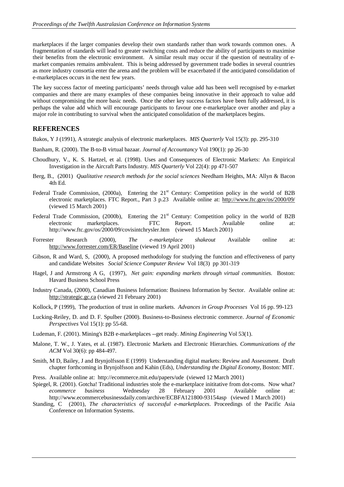marketplaces if the larger companies develop their own standards rather than work towards common ones. A fragmentation of standards will lead to greater switching costs and reduce the ability of participants to maximise their benefits from the electronic environment. A similar result may occur if the question of neutrality of emarket companies remains ambivalent. This is being addressed by government trade bodies in several countries as more industry consortia enter the arena and the problem will be exacerbated if the anticipated consolidation of e-marketplaces occurs in the next few years.

The key success factor of meeting participants' needs through value add has been well recognised by e-market companies and there are many examples of these companies being innovative in their approach to value add without compromising the more basic needs. Once the other key success factors have been fully addressed, it is perhaps the value add which will encourage participants to favour one e-marketplace over another and play a major role in contributing to survival when the anticipated consolidation of the marketplaces begins.

## **REFERENCES**

Bakos, Y J (1991), A strategic analysis of electronic marketplaces. *MIS Quarterly* Vol 15(3): pp. 295-310

- Banham, R. (2000). The B-to-B virtual bazaar. *Journal of Accountancy* Vol 190(1): pp 26-30
- Choudhury, V., K. S. Hartzel, et al. (1998). Uses and Consequences of Electronic Markets: An Empirical Investigation in the Aircraft Parts Industry*. MIS Quarterly* Vol 22(4): pp 471-507
- Berg, B., (2001) *Qualitative research methods for the social sciences* Needham Heights, MA: Allyn & Bacon 4th Ed.
- Federal Trade Commission, (2000a), Entering the 21<sup>st</sup> Century: Competition policy in the world of B2B electronic marketplaces. FTC Report., Part 3 p.23 Available online at: http://www.ftc.gov/os/2000/09/ (viewed 15 March 2001)
- Federal Trade Commission, (2000b), Entering the 21<sup>st</sup> Century: Competition policy in the world of B2B electronic marketplaces. FTC Report. Available online at: http://www.ftc.gov/os/2000/09/covisintchrysler.htm (viewed 15 March 2001)
- Forrester Research (2000), *The e-marketplace shakeout* Available online at: http://www.forrester.com/ER/Baseline (viewed 19 April 2001)
- Gibson, R and Ward, S, (2000), A proposed methodology for studying the function and effectiveness of party and candidate Websites *Social Science Computer Review* Vol 18(3) pp 301-319
- Hagel, J and Armstrong A G, (1997), *Net gain: expanding markets through virtual communities.* Boston: Havard Business School Press
- Industry Canada, (2000), Canadian Business Information: Business Information by Sector. Available online at: http://strategic.gc.ca (viewed 21 February 2001)
- Kollock, P (1999), The production of trust in online markets. *Advances in Group Processes* Vol 16 pp. 99-123
- Lucking-Reiley, D. and D. F. Spulber (2000). Business-to-Business electronic commerce. *Journal of Economic Perspectives* Vol 15(1): pp 55-68.
- Ludeman, F. (2001). Mining's B2B e-marketplaces --get ready. *Mining Engineering* Vol 53(1).
- Malone, T. W., J. Yates, et al. (1987). Electronic Markets and Electronic Hierarchies. *Communications of the ACM* Vol 30(6): pp 484-497.
- Smith, M D, Bailey, J and Brynjolfsson E (1999) Understanding digital markets: Review and Assessment. Draft chapter forthcoming in Brynjolfsson and Kahin (Eds), *Understanding the Digital Economy*, Boston: MIT.
- Press. Available online at: http://ecommerce.mit.edu/papers/ude (viewed 12 March 2001)
- Spiegel, R. (2001). Gotcha! Traditional industries stole the e-marketplace inititative from dot-coms. Now what? *ecommerce business* Wednesday 28 February 2001 Available online at: http://www.ecommercebusinessdaily.com/archive/ECBFA121800-93154asp (viewed 1 March 2001)
- Standing, C (2001), *The characteristics of successful e-marketplaces*. Proceedings of the Pacific Asia Conference on Information Systems.